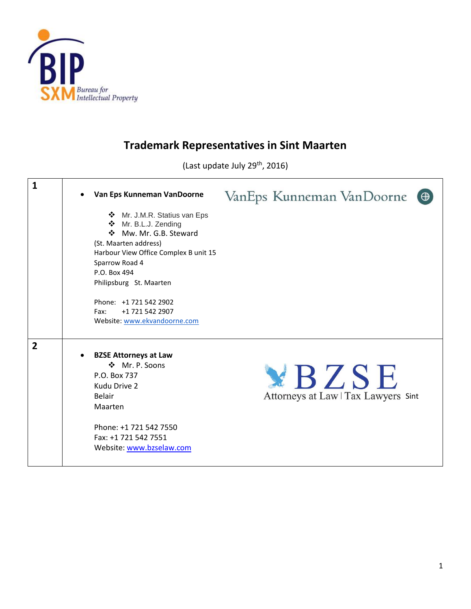

## **Trademark Representatives in Sint Maarten**

(Last update July 29<sup>th</sup>, 2016)

| $\mathbf{1}$   | Van Eps Kunneman VanDoorne<br>❖ Mr. J.M.R. Statius van Eps<br>❖ Mr. B.L.J. Zending<br>Mw. Mr. G.B. Steward<br>(St. Maarten address)<br>Harbour View Office Complex B unit 15<br>Sparrow Road 4<br>P.O. Box 494<br>Philipsburg St. Maarten<br>Phone: +1 721 542 2902<br>+1 721 542 2907<br>Fax:<br>Website: www.ekvandoorne.com | VanEps Kunneman VanDoorne<br>$\Theta$        |
|----------------|--------------------------------------------------------------------------------------------------------------------------------------------------------------------------------------------------------------------------------------------------------------------------------------------------------------------------------|----------------------------------------------|
| $\overline{2}$ | <b>BZSE Attorneys at Law</b><br>❖ Mr. P. Soons<br>P.O. Box 737<br>Kudu Drive 2<br><b>Belair</b><br>Maarten<br>Phone: +1 721 542 7550<br>Fax: +1 721 542 7551<br>Website: www.bzselaw.com                                                                                                                                       | YBZSE<br>Attorneys at Law   Tax Lawyers Sint |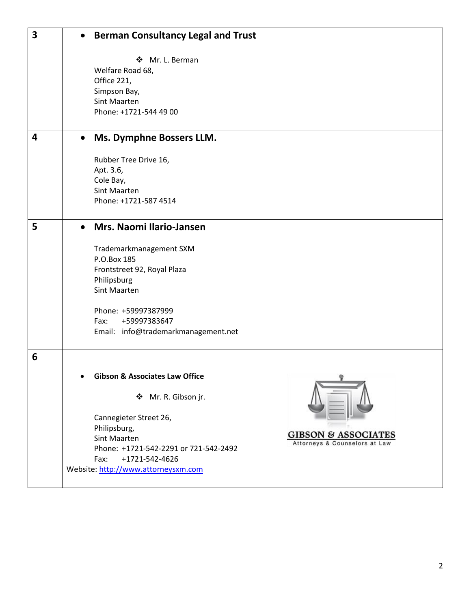| $\overline{\mathbf{3}}$ | $\bullet$ | <b>Berman Consultancy Legal and Trust</b>                                                                                                                                                                                                                                                               |
|-------------------------|-----------|---------------------------------------------------------------------------------------------------------------------------------------------------------------------------------------------------------------------------------------------------------------------------------------------------------|
|                         |           | Mr. L. Berman<br>❖<br>Welfare Road 68,<br>Office 221,<br>Simpson Bay,<br>Sint Maarten<br>Phone: +1721-544 49 00                                                                                                                                                                                         |
| 4                       |           | Ms. Dymphne Bossers LLM.                                                                                                                                                                                                                                                                                |
|                         |           | Rubber Tree Drive 16,<br>Apt. 3.6,<br>Cole Bay,<br><b>Sint Maarten</b><br>Phone: +1721-587 4514                                                                                                                                                                                                         |
| 5                       |           | Mrs. Naomi Ilario-Jansen                                                                                                                                                                                                                                                                                |
|                         |           | Trademarkmanagement SXM<br>P.O.Box 185<br>Frontstreet 92, Royal Plaza<br>Philipsburg<br>Sint Maarten<br>Phone: +59997387999<br>Fax:<br>+59997383647<br>Email: info@trademarkmanagement.net                                                                                                              |
| 6                       |           |                                                                                                                                                                                                                                                                                                         |
|                         |           | <b>Gibson &amp; Associates Law Office</b><br>❖ Mr. R. Gibson jr.<br>Cannegieter Street 26,<br>Philipsburg,<br><b>GIBSON &amp; ASSOCIATES</b><br>Sint Maarten<br>Attorneys & Counselors at Law<br>Phone: +1721-542-2291 or 721-542-2492<br>Fax:<br>+1721-542-4626<br>Website: http://www.attorneysxm.com |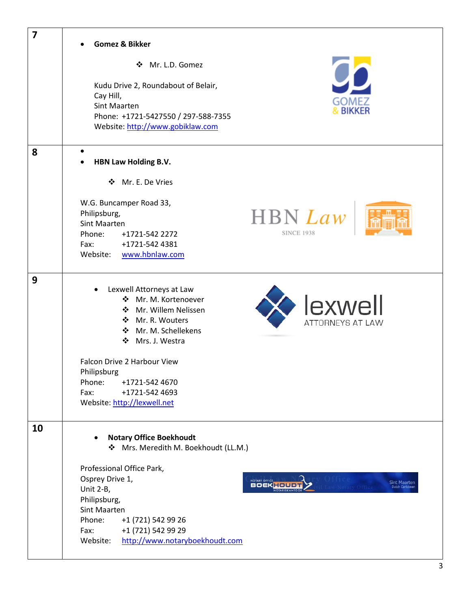| $\overline{\mathbf{z}}$ | <b>Gomez &amp; Bikker</b>                                                                                                                                                                                              |                                               |
|-------------------------|------------------------------------------------------------------------------------------------------------------------------------------------------------------------------------------------------------------------|-----------------------------------------------|
|                         | ❖ Mr. L.D. Gomez                                                                                                                                                                                                       |                                               |
|                         | Kudu Drive 2, Roundabout of Belair,<br>Cay Hill,<br>GOMEZ<br>Sint Maarten<br><b>BIKKER</b><br>Phone: +1721-5427550 / 297-588-7355<br>Website: http://www.gobiklaw.com                                                  |                                               |
| 8                       | $\bullet$<br>HBN Law Holding B.V.                                                                                                                                                                                      |                                               |
|                         | ❖ Mr. E. De Vries                                                                                                                                                                                                      |                                               |
|                         | W.G. Buncamper Road 33,<br><b>HBN</b> Law<br>Philipsburg,<br>Sint Maarten<br><b>SINCE 1938</b><br>Phone:<br>+1721-542 2272<br>+1721-542 4381<br>Fax:<br>Website: www.hbnlaw.com                                        |                                               |
| 9                       | Lexwell Attorneys at Law<br>❖ Mr. M. Kortenoever<br>lexwell<br>❖ Mr. Willem Nelissen<br>❖ Mr. R. Wouters<br>ATTORNEYS AT LAW<br>❖ Mr. M. Schellekens<br>❖<br>Mrs. J. Westra                                            |                                               |
|                         | Falcon Drive 2 Harbour View<br>Philipsburg<br>Phone:<br>+1721-542 4670<br>Fax:<br>+1721-542 4693<br>Website: http://lexwell.net                                                                                        |                                               |
| 10                      | <b>Notary Office Boekhoudt</b><br>Mrs. Meredith M. Boekhoudt (LL.M.)                                                                                                                                                   |                                               |
|                         | Professional Office Park,<br>Osprey Drive 1,<br>NOTARY OFFICE<br>Unit 2-B,<br>Philipsburg,<br>Sint Maarten<br>Phone:<br>+1 (721) 542 99 26<br>+1 (721) 542 99 29<br>Fax:<br>http://www.notaryboekhoudt.com<br>Website: | <b>Sint Maarten</b><br><b>Dutch Caribbear</b> |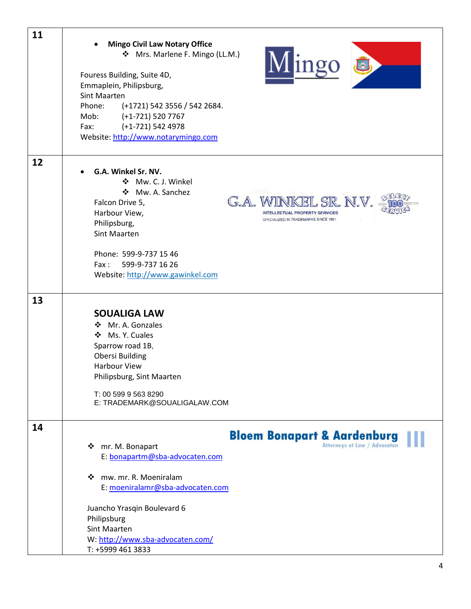| 11 | <b>Mingo Civil Law Notary Office</b><br>❖ Mrs. Marlene F. Mingo (LL.M.)<br>Mingo &<br>Fouress Building, Suite 4D,<br>Emmaplein, Philipsburg,<br><b>Sint Maarten</b><br>(+1721) 542 3556 / 542 2684.<br>Phone:<br>Mob: (+1-721) 520 7767<br>Fax: $(+1-721)$ 542 4978<br>Website: http://www.notarymingo.com                          |
|----|-------------------------------------------------------------------------------------------------------------------------------------------------------------------------------------------------------------------------------------------------------------------------------------------------------------------------------------|
| 12 | G.A. Winkel Sr. NV.<br>❖ Mw. C. J. Winkel<br>❖ Mw. A. Sanchez<br>G.A. WINKEL SR. N.V.<br>Falcon Drive 5,<br>Harbour View,<br><b>INTELLECTUAL PROPERTY SERVICES</b><br>SPECIALIZED IN TRADEMARKS SINCE 1901<br>Philipsburg,<br>Sint Maarten<br>Phone: 599-9-737 15 46<br>Fax:<br>599-9-737 16 26<br>Website: http://www.gawinkel.com |
| 13 | <b>SOUALIGA LAW</b><br>❖ Mr. A. Gonzales<br>❖ Ms. Y. Cuales<br>Sparrow road 1B,<br><b>Obersi Building</b><br><b>Harbour View</b><br>Philipsburg, Sint Maarten<br>T: 00 599 9 563 8290<br>E: TRADEMARK@SOUALIGALAW.COM                                                                                                               |
| 14 | <b>Bloem Bonapart &amp; Aardenburg</b><br>Atterneys at Law / Advocaten<br>❖ mr. M. Bonapart<br>E: bonapartm@sba-advocaten.com<br>❖ mw. mr. R. Moeniralam<br>E: moeniralamr@sba-advocaten.com<br>Juancho Yrasqin Boulevard 6<br>Philipsburg<br>Sint Maarten<br>W: http://www.sba-advocaten.com/<br>T: +5999 461 3833                 |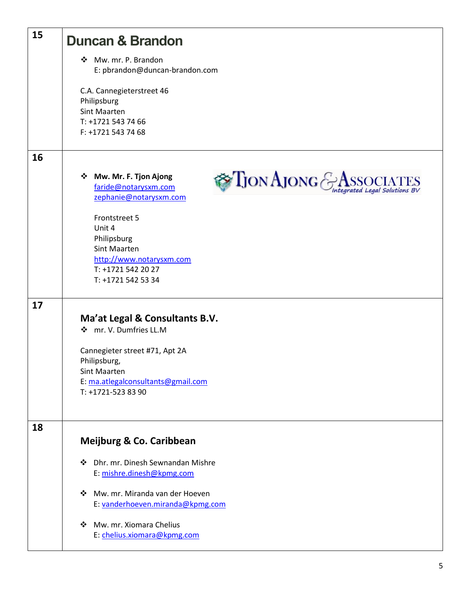| 15 | <b>Duncan &amp; Brandon</b>                                                                                                                              |
|----|----------------------------------------------------------------------------------------------------------------------------------------------------------|
|    | Mw. mr. P. Brandon<br>E: pbrandon@duncan-brandon.com                                                                                                     |
|    | C.A. Cannegieterstreet 46<br>Philipsburg<br>Sint Maarten<br>T: +1721 543 74 66<br>F: +1721 543 74 68                                                     |
| 16 |                                                                                                                                                          |
|    | $\sum_{\text{JON}}$ AJONG $\text{S}_{\text{Integrated Legal Solutions BV}}$<br>❖ Mw. Mr. F. Tjon Ajong<br>faride@notarysxm.com<br>zephanie@notarysxm.com |
|    | Frontstreet 5<br>Unit 4                                                                                                                                  |
|    | Philipsburg                                                                                                                                              |
|    | Sint Maarten<br>http://www.notarysxm.com                                                                                                                 |
|    | T: +1721 542 20 27<br>T: +1721 542 53 34                                                                                                                 |
|    |                                                                                                                                                          |
| 17 | Ma'at Legal & Consultants B.V.<br>❖ mr. V. Dumfries LL.M                                                                                                 |
|    | Cannegieter street #71, Apt 2A                                                                                                                           |
|    | Philipsburg,<br>Sint Maarten                                                                                                                             |
|    | E: ma.atlegalconsultants@gmail.com                                                                                                                       |
|    | T: +1721-523 83 90                                                                                                                                       |
| 18 |                                                                                                                                                          |
|    | Meijburg & Co. Caribbean                                                                                                                                 |
|    | Dhr. mr. Dinesh Sewnandan Mishre<br>❖<br>E: mishre.dinesh@kpmg.com                                                                                       |
|    | Mw. mr. Miranda van der Hoeven<br>❖<br>E: vanderhoeven.miranda@kpmg.com                                                                                  |
|    | Mw. mr. Xiomara Chelius<br>❖<br>E: chelius.xiomara@kpmg.com                                                                                              |